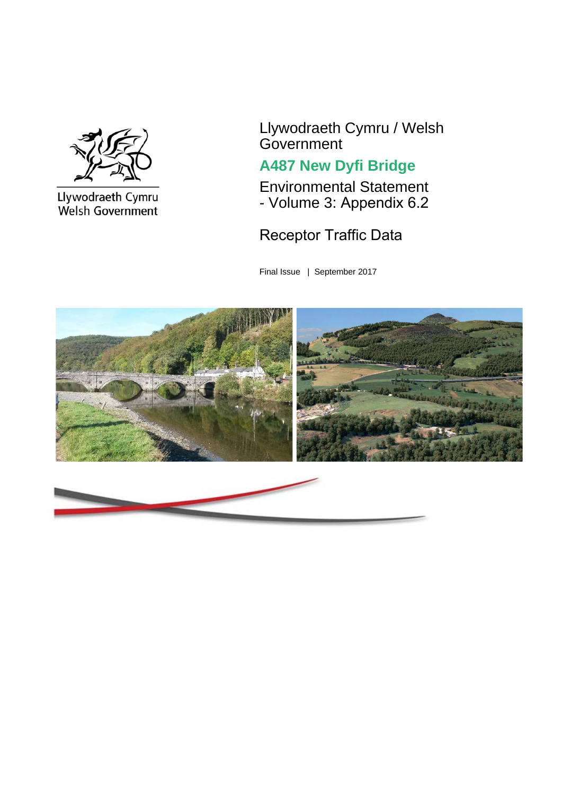

Llywodraeth Cymru<br>Welsh Government

Llywodraeth Cymru / Welsh **Government** 

## **A487 New Dyfi Bridge**

Environmental Statement - Volume 3: Appendix 6.2

## Receptor Traffic Data

Final Issue | September 2017

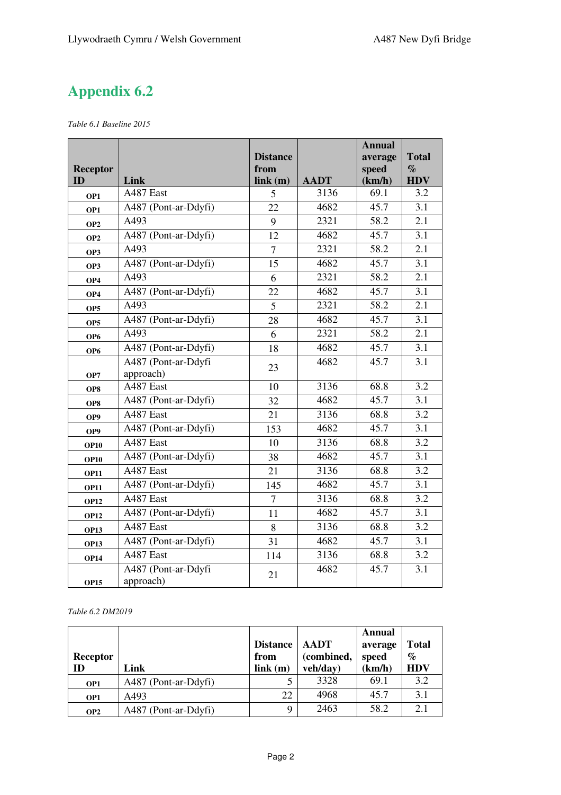## **Appendix 6.2**

*Table 6.1 Baseline 2015* 

|                       |                      |                 |             | <b>Annual</b>   |                    |
|-----------------------|----------------------|-----------------|-------------|-----------------|--------------------|
|                       |                      | <b>Distance</b> |             | average         | <b>Total</b>       |
| <b>Receptor</b><br>ID | Link                 | from<br>link(m) | <b>AADT</b> | speed<br>(km/h) | $\%$<br><b>HDV</b> |
| OP1                   | A487 East            | 5               | 3136        | 69.1            | 3.2                |
| OP1                   | A487 (Pont-ar-Ddyfi) | 22              | 4682        | 45.7            | 3.1                |
| OP <sub>2</sub>       | A493                 | 9               | 2321        | 58.2            | $\overline{2.1}$   |
| OP <sub>2</sub>       | A487 (Pont-ar-Ddyfi) | 12              | 4682        | 45.7            | 3.1                |
| OP3                   | A493                 | $\tau$          | 2321        | 58.2            | 2.1                |
| OP3                   | A487 (Pont-ar-Ddyfi) | 15              | 4682        | 45.7            | 3.1                |
| OP4                   | A493                 | 6               | 2321        | 58.2            | 2.1                |
| OP4                   | A487 (Pont-ar-Ddyfi) | 22              | 4682        | 45.7            | 3.1                |
| OP <sub>5</sub>       | A493                 | 5               | 2321        | 58.2            | 2.1                |
| OP <sub>5</sub>       | A487 (Pont-ar-Ddyfi) | 28              | 4682        | 45.7            | 3.1                |
| OP <sub>6</sub>       | A493                 | 6               | 2321        | 58.2            | 2.1                |
| OP <sub>6</sub>       | A487 (Pont-ar-Ddyfi) | 18              | 4682        | 45.7            | 3.1                |
|                       | A487 (Pont-ar-Ddyfi  | 23              | 4682        | 45.7            | 3.1                |
| OP7                   | approach)            |                 |             |                 |                    |
| OP8                   | A487 East            | 10              | 3136        | 68.8            | 3.2                |
| OP8                   | A487 (Pont-ar-Ddyfi) | 32              | 4682        | 45.7            | 3.1                |
| OP <sub>9</sub>       | A487 East            | 21              | 3136        | 68.8            | 3.2                |
| OP9                   | A487 (Pont-ar-Ddyfi) | 153             | 4682        | 45.7            | 3.1                |
| <b>OP10</b>           | A487 East            | 10              | 3136        | 68.8            | 3.2                |
| <b>OP10</b>           | A487 (Pont-ar-Ddyfi) | 38              | 4682        | 45.7            | 3.1                |
| <b>OP11</b>           | A487 East            | 21              | 3136        | 68.8            | 3.2                |
| <b>OP11</b>           | A487 (Pont-ar-Ddyfi) | 145             | 4682        | 45.7            | 3.1                |
| <b>OP12</b>           | A487 East            | $\overline{7}$  | 3136        | 68.8            | 3.2                |
| <b>OP12</b>           | A487 (Pont-ar-Ddyfi) | 11              | 4682        | 45.7            | 3.1                |
| <b>OP13</b>           | A487 East            | 8               | 3136        | 68.8            | 3.2                |
| <b>OP13</b>           | A487 (Pont-ar-Ddyfi) | 31              | 4682        | 45.7            | 3.1                |
| <b>OP14</b>           | A487 East            | 114             | 3136        | 68.8            | 3.2                |
|                       | A487 (Pont-ar-Ddyfi  | 21              | 4682        | 45.7            | 3.1                |
| <b>OP15</b>           | approach)            |                 |             |                 |                    |

*Table 6.2 DM2019* 

| <b>Receptor</b><br>ID  | Link                 | <b>Distance</b><br>from<br>link(m) | <b>AADT</b><br>(combined, | Annual<br>average<br>speed<br>(km/h) | <b>Total</b><br>$\%$<br><b>HDV</b> |
|------------------------|----------------------|------------------------------------|---------------------------|--------------------------------------|------------------------------------|
|                        | A487 (Pont-ar-Ddyfi) |                                    | veh/day)<br>3328          | 69.1                                 | 3.2                                |
| OP1<br>OP <sub>1</sub> | A493                 | 22                                 | 4968                      | 45.7                                 | 3.1                                |
| OP <sub>2</sub>        | A487 (Pont-ar-Ddyfi) | Q                                  | 2463                      | 58.2                                 | 2.1                                |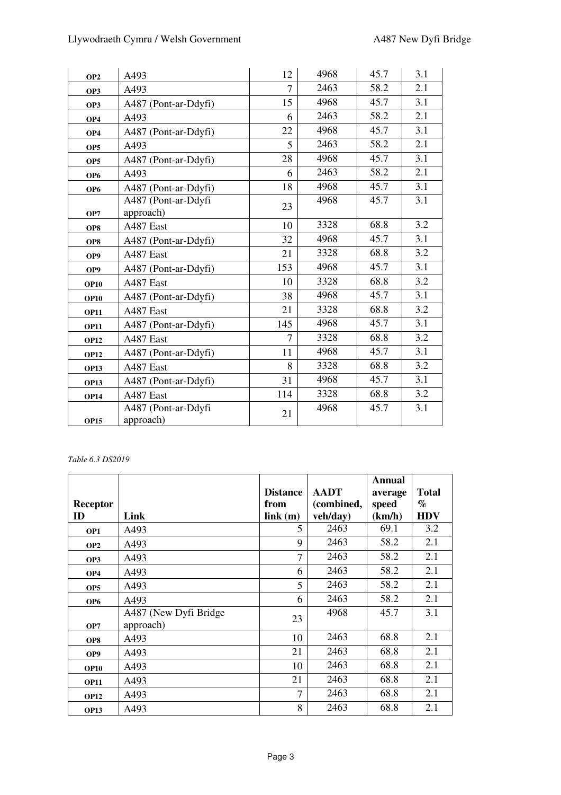| OP <sub>2</sub> | A493                             | 12             | 4968 | 45.7 | 3.1 |
|-----------------|----------------------------------|----------------|------|------|-----|
| OP3             | A493                             | $\overline{7}$ | 2463 | 58.2 | 2.1 |
| OP3             | A487 (Pont-ar-Ddyfi)             | 15             | 4968 | 45.7 | 3.1 |
| OP <sub>4</sub> | A493                             | 6              | 2463 | 58.2 | 2.1 |
| OP <sub>4</sub> | A487 (Pont-ar-Ddyfi)             | 22             | 4968 | 45.7 | 3.1 |
| OP <sub>5</sub> | A493                             | 5              | 2463 | 58.2 | 2.1 |
| OP <sub>5</sub> | A487 (Pont-ar-Ddyfi)             | 28             | 4968 | 45.7 | 3.1 |
| OP <sub>6</sub> | A493                             | 6              | 2463 | 58.2 | 2.1 |
| OP <sub>6</sub> | A487 (Pont-ar-Ddyfi)             | 18             | 4968 | 45.7 | 3.1 |
|                 | A487 (Pont-ar-Ddyfi              | 23             | 4968 | 45.7 | 3.1 |
| OP7             | approach)                        |                |      | 68.8 | 3.2 |
| OP8             | A487 East                        | 10             | 3328 |      |     |
| OP8             | A487 (Pont-ar-Ddyfi)             | 32             | 4968 | 45.7 | 3.1 |
| OP <sub>9</sub> | A487 East                        | 21             | 3328 | 68.8 | 3.2 |
| OP <sub>9</sub> | A487 (Pont-ar-Ddyfi)             | 153            | 4968 | 45.7 | 3.1 |
| <b>OP10</b>     | A487 East                        | 10             | 3328 | 68.8 | 3.2 |
| <b>OP10</b>     | A487 (Pont-ar-Ddyfi)             | 38             | 4968 | 45.7 | 3.1 |
| <b>OP11</b>     | A487 East                        | 21             | 3328 | 68.8 | 3.2 |
| <b>OP11</b>     | A487 (Pont-ar-Ddyfi)             | 145            | 4968 | 45.7 | 3.1 |
| <b>OP12</b>     | A487 East                        | 7              | 3328 | 68.8 | 3.2 |
| <b>OP12</b>     | A487 (Pont-ar-Ddyfi)             | 11             | 4968 | 45.7 | 3.1 |
| <b>OP13</b>     | A487 East                        | 8              | 3328 | 68.8 | 3.2 |
| <b>OP13</b>     | A487 (Pont-ar-Ddyfi)             | 31             | 4968 | 45.7 | 3.1 |
| <b>OP14</b>     | A487 East                        | 114            | 3328 | 68.8 | 3.2 |
| <b>OP15</b>     | A487 (Pont-ar-Ddyfi<br>approach) | 21             | 4968 | 45.7 | 3.1 |

## *Table 6.3 DS2019*

| <b>Receptor</b><br>ID | Link                                | <b>Distance</b><br>from<br>link(m) | <b>AADT</b><br>(combined,<br>veh/day) | Annual<br>average<br>speed<br>(km/h) | <b>Total</b><br>$\%$<br><b>HDV</b> |
|-----------------------|-------------------------------------|------------------------------------|---------------------------------------|--------------------------------------|------------------------------------|
| OP1                   | A493                                | 5                                  | 2463                                  | 69.1                                 | 3.2                                |
| OP <sub>2</sub>       | A493                                | 9                                  | 2463                                  | 58.2                                 | 2.1                                |
| OP3                   | A493                                | 7                                  | 2463                                  | 58.2                                 | 2.1                                |
| OP <sub>4</sub>       | A493                                | 6                                  | 2463                                  | 58.2                                 | 2.1                                |
| OP <sub>5</sub>       | A493                                | 5                                  | 2463                                  | 58.2                                 | 2.1                                |
| OP <sub>6</sub>       | A493                                | 6                                  | 2463                                  | 58.2                                 | 2.1                                |
| OP7                   | A487 (New Dyfi Bridge)<br>approach) | 23                                 | 4968                                  | 45.7                                 | 3.1                                |
| OP8                   | A493                                | 10                                 | 2463                                  | 68.8                                 | 2.1                                |
| OP <sub>9</sub>       | A493                                | 21                                 | 2463                                  | 68.8                                 | 2.1                                |
| <b>OP10</b>           | A493                                | 10                                 | 2463                                  | 68.8                                 | 2.1                                |
| <b>OP11</b>           | A493                                | 21                                 | 2463                                  | 68.8                                 | 2.1                                |
| <b>OP12</b>           | A493                                | 7                                  | 2463                                  | 68.8                                 | 2.1                                |
| <b>OP13</b>           | A493                                | 8                                  | 2463                                  | 68.8                                 | 2.1                                |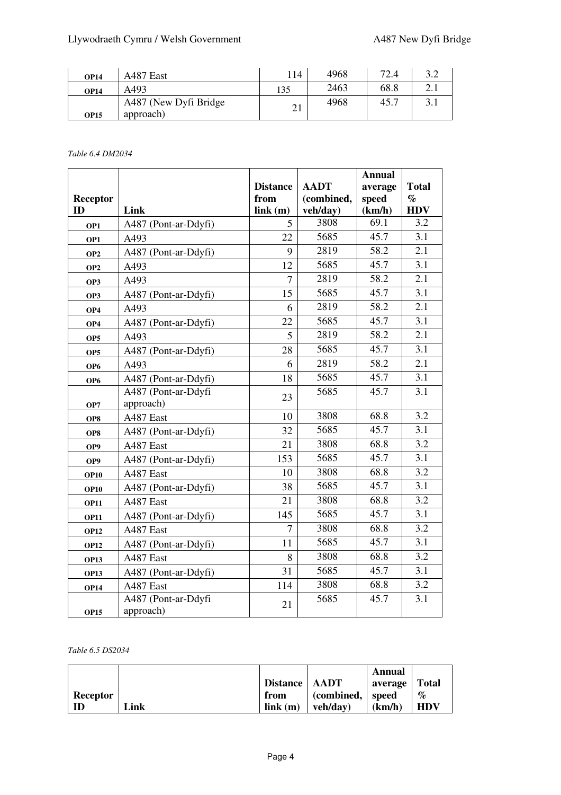| <b>OP14</b> | A487 East                           | 114             | 4968 | 72.4 |   |
|-------------|-------------------------------------|-----------------|------|------|---|
| <b>OP14</b> | A493                                | 135             | 2463 | 68.8 | ر |
| <b>OP15</b> | A487 (New Dyfi Bridge)<br>approach) | $\bigcap$<br>∠⊥ | 4968 | 45.7 |   |

*Table 6.4 DM2034* 

|                 |                      |                 |             | <b>Annual</b>     |                  |
|-----------------|----------------------|-----------------|-------------|-------------------|------------------|
|                 |                      | <b>Distance</b> | <b>AADT</b> | average           | <b>Total</b>     |
| <b>Receptor</b> |                      | from            | (combined,  | speed             | $\%$             |
| ID              | Link                 | link(m)         | veh/day)    | (km/h)            | <b>HDV</b>       |
| OP1             | A487 (Pont-ar-Ddyfi) | 5               | 3808        | 69.1              | 3.2              |
| OP1             | A493                 | 22              | 5685        | 45.7              | 3.1              |
| OP <sub>2</sub> | A487 (Pont-ar-Ddyfi) | 9               | 2819        | 58.2              | $\overline{2.1}$ |
| OP <sub>2</sub> | A493                 | 12              | 5685        | 45.7              | 3.1              |
| OP3             | A493                 | $\overline{7}$  | 2819        | 58.2              | 2.1              |
| OP3             | A487 (Pont-ar-Ddyfi) | 15              | 5685        | 45.7              | 3.1              |
| OP4             | A493                 | 6               | 2819        | 58.2              | 2.1              |
| OP4             | A487 (Pont-ar-Ddyfi) | 22              | 5685        | 45.7              | 3.1              |
| OP <sub>5</sub> | A493                 | 5               | 2819        | 58.2              | $\overline{2.1}$ |
| OP <sub>5</sub> | A487 (Pont-ar-Ddyfi) | 28              | 5685        | 45.7              | 3.1              |
| OP <sub>6</sub> | A493                 | 6               | 2819        | $\overline{58.2}$ | 2.1              |
| OP <sub>6</sub> | A487 (Pont-ar-Ddyfi) | 18              | 5685        | 45.7              | $\overline{3.1}$ |
|                 | A487 (Pont-ar-Ddyfi  | 23              | 5685        | 45.7              | 3.1              |
| OP7             | approach)            |                 |             |                   |                  |
| OP8             | A487 East            | 10              | 3808        | 68.8              | 3.2              |
| OP8             | A487 (Pont-ar-Ddyfi) | 32              | 5685        | 45.7              | $\overline{3.1}$ |
| OP9             | A487 East            | 21              | 3808        | 68.8              | 3.2              |
| OP9             | A487 (Pont-ar-Ddyfi) | 153             | 5685        | 45.7              | 3.1              |
| <b>OP10</b>     | A487 East            | 10              | 3808        | 68.8              | 3.2              |
| <b>OP10</b>     | A487 (Pont-ar-Ddyfi) | 38              | 5685        | 45.7              | 3.1              |
| <b>OP11</b>     | A487 East            | 21              | 3808        | 68.8              | 3.2              |
| <b>OP11</b>     | A487 (Pont-ar-Ddyfi) | 145             | 5685        | 45.7              | $\overline{3.1}$ |
| <b>OP12</b>     | A487 East            | $\overline{7}$  | 3808        | 68.8              | 3.2              |
| <b>OP12</b>     | A487 (Pont-ar-Ddyfi) | 11              | 5685        | 45.7              | 3.1              |
| <b>OP13</b>     | A487 East            | 8               | 3808        | 68.8              | 3.2              |
| <b>OP13</b>     | A487 (Pont-ar-Ddyfi) | 31              | 5685        | 45.7              | 3.1              |
| <b>OP14</b>     | A487 East            | 114             | 3808        | 68.8              | 3.2              |
|                 | A487 (Pont-ar-Ddyfi  | 21              | 5685        | 45.7              | 3.1              |
| <b>OP15</b>     | approach)            |                 |             |                   |                  |

*Table 6.5 DS2034* 

|          |      |                 |                                  | Annual  |              |
|----------|------|-----------------|----------------------------------|---------|--------------|
|          |      | Distance   AADT |                                  | average | <b>Total</b> |
| Receptor |      | from            | $\epsilon$ (combined, $\epsilon$ | speed   | %            |
| ID       | Link | link(m)         | veh/dav)                         | (km/h)  | <b>HDV</b>   |